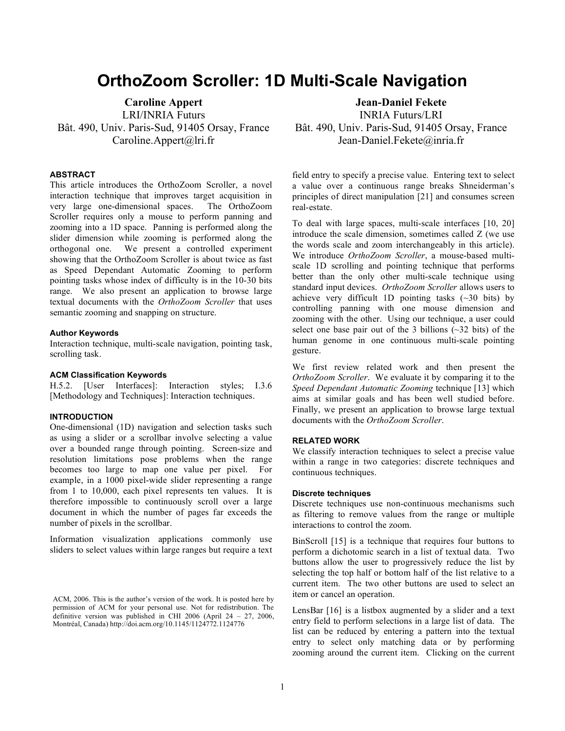# **OrthoZoom Scroller: 1D Multi-Scale Navigation**

**Caroline Appert** LRI/INRIA Futurs Bât. 490, Univ. Paris-Sud, 91405 Orsay, France Caroline.Appert@lri.fr

#### **ABSTRACT**

This article introduces the OrthoZoom Scroller, a novel interaction technique that improves target acquisition in very large one-dimensional spaces. The OrthoZoom Scroller requires only a mouse to perform panning and zooming into a 1D space. Panning is performed along the slider dimension while zooming is performed along the orthogonal one. We present a controlled experiment showing that the OrthoZoom Scroller is about twice as fast as Speed Dependant Automatic Zooming to perform pointing tasks whose index of difficulty is in the 10-30 bits range. We also present an application to browse large textual documents with the *OrthoZoom Scroller* that uses semantic zooming and snapping on structure.

#### **Author Keywords**

Interaction technique, multi-scale navigation, pointing task, scrolling task.

## **ACM Classification Keywords**

H.5.2. [User Interfaces]: Interaction styles; I.3.6 [Methodology and Techniques]: Interaction techniques.

## **INTRODUCTION**

One-dimensional (1D) navigation and selection tasks such as using a slider or a scrollbar involve selecting a value over a bounded range through pointing. Screen-size and resolution limitations pose problems when the range becomes too large to map one value per pixel. For example, in a 1000 pixel-wide slider representing a range from 1 to 10,000, each pixel represents ten values. It is therefore impossible to continuously scroll over a large document in which the number of pages far exceeds the number of pixels in the scrollbar.

Information visualization applications commonly use sliders to select values within large ranges but require a text **Jean-Daniel Fekete**

INRIA Futurs/LRI Bât. 490, Univ. Paris-Sud, 91405 Orsay, France Jean-Daniel.Fekete@inria.fr

field entry to specify a precise value. Entering text to select a value over a continuous range breaks Shneiderman's principles of direct manipulation [21] and consumes screen real-estate.

To deal with large spaces, multi-scale interfaces [10, 20] introduce the scale dimension, sometimes called Z (we use the words scale and zoom interchangeably in this article). We introduce *OrthoZoom Scroller*, a mouse-based multiscale 1D scrolling and pointing technique that performs better than the only other multi-scale technique using standard input devices. *OrthoZoom Scroller* allows users to achieve very difficult 1D pointing tasks  $(\sim 30$  bits) by controlling panning with one mouse dimension and zooming with the other. Using our technique, a user could select one base pair out of the 3 billions  $(\sim]32$  bits) of the human genome in one continuous multi-scale pointing gesture.

We first review related work and then present the *OrthoZoom Scroller*. We evaluate it by comparing it to the *Speed Dependant Automatic Zooming* technique [13] which aims at similar goals and has been well studied before. Finally, we present an application to browse large textual documents with the *OrthoZoom Scroller*.

## **RELATED WORK**

We classify interaction techniques to select a precise value within a range in two categories: discrete techniques and continuous techniques.

#### **Discrete techniques**

Discrete techniques use non-continuous mechanisms such as filtering to remove values from the range or multiple interactions to control the zoom.

BinScroll [15] is a technique that requires four buttons to perform a dichotomic search in a list of textual data. Two buttons allow the user to progressively reduce the list by selecting the top half or bottom half of the list relative to a current item. The two other buttons are used to select an item or cancel an operation.

LensBar [16] is a listbox augmented by a slider and a text entry field to perform selections in a large list of data. The list can be reduced by entering a pattern into the textual entry to select only matching data or by performing zooming around the current item. Clicking on the current

ACM, 2006. This is the author's version of the work. It is posted here by permission of ACM for your personal use. Not for redistribution. The definitive version was published in CHI 2006 (April 24 – 27, 2006, Montréal, Canada) http://doi.acm.org/10.1145/1124772.1124776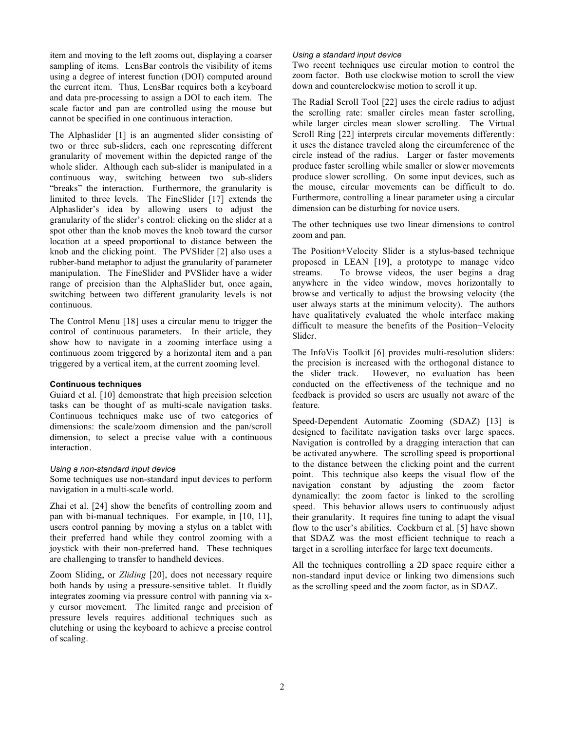item and moving to the left zooms out, displaying a coarser sampling of items. LensBar controls the visibility of items using a degree of interest function (DOI) computed around the current item. Thus, LensBar requires both a keyboard and data pre-processing to assign a DOI to each item. The scale factor and pan are controlled using the mouse but cannot be specified in one continuous interaction.

The Alphaslider [1] is an augmented slider consisting of two or three sub-sliders, each one representing different granularity of movement within the depicted range of the whole slider. Although each sub-slider is manipulated in a continuous way, switching between two sub-sliders "breaks" the interaction. Furthermore, the granularity is limited to three levels. The FineSlider [17] extends the Alphaslider's idea by allowing users to adjust the granularity of the slider's control: clicking on the slider at a spot other than the knob moves the knob toward the cursor location at a speed proportional to distance between the knob and the clicking point. The PVSlider [2] also uses a rubber-band metaphor to adjust the granularity of parameter manipulation. The FineSlider and PVSlider have a wider range of precision than the AlphaSlider but, once again, switching between two different granularity levels is not continuous.

The Control Menu [18] uses a circular menu to trigger the control of continuous parameters. In their article, they show how to navigate in a zooming interface using a continuous zoom triggered by a horizontal item and a pan triggered by a vertical item, at the current zooming level.

## **Continuous techniques**

Guiard et al. [10] demonstrate that high precision selection tasks can be thought of as multi-scale navigation tasks. Continuous techniques make use of two categories of dimensions: the scale/zoom dimension and the pan/scroll dimension, to select a precise value with a continuous interaction.

# *Using a non-standard input device*

Some techniques use non-standard input devices to perform navigation in a multi-scale world.

Zhai et al. [24] show the benefits of controlling zoom and pan with bi-manual techniques. For example, in [10, 11], users control panning by moving a stylus on a tablet with their preferred hand while they control zooming with a joystick with their non-preferred hand. These techniques are challenging to transfer to handheld devices.

Zoom Sliding, or *Zliding* [20], does not necessary require both hands by using a pressure-sensitive tablet. It fluidly integrates zooming via pressure control with panning via xy cursor movement. The limited range and precision of pressure levels requires additional techniques such as clutching or using the keyboard to achieve a precise control of scaling.

#### *Using a standard input device*

Two recent techniques use circular motion to control the zoom factor. Both use clockwise motion to scroll the view down and counterclockwise motion to scroll it up.

The Radial Scroll Tool [22] uses the circle radius to adjust the scrolling rate: smaller circles mean faster scrolling, while larger circles mean slower scrolling. The Virtual Scroll Ring [22] interprets circular movements differently: it uses the distance traveled along the circumference of the circle instead of the radius. Larger or faster movements produce faster scrolling while smaller or slower movements produce slower scrolling. On some input devices, such as the mouse, circular movements can be difficult to do. Furthermore, controlling a linear parameter using a circular dimension can be disturbing for novice users.

The other techniques use two linear dimensions to control zoom and pan.

The Position+Velocity Slider is a stylus-based technique proposed in LEAN [19], a prototype to manage video streams. To browse videos, the user begins a drag anywhere in the video window, moves horizontally to browse and vertically to adjust the browsing velocity (the user always starts at the minimum velocity). The authors have qualitatively evaluated the whole interface making difficult to measure the benefits of the Position+Velocity Slider.

The InfoVis Toolkit [6] provides multi-resolution sliders: the precision is increased with the orthogonal distance to the slider track. However, no evaluation has been conducted on the effectiveness of the technique and no feedback is provided so users are usually not aware of the feature.

Speed-Dependent Automatic Zooming (SDAZ) [13] is designed to facilitate navigation tasks over large spaces. Navigation is controlled by a dragging interaction that can be activated anywhere. The scrolling speed is proportional to the distance between the clicking point and the current point. This technique also keeps the visual flow of the navigation constant by adjusting the zoom factor dynamically: the zoom factor is linked to the scrolling speed. This behavior allows users to continuously adjust their granularity. It requires fine tuning to adapt the visual flow to the user's abilities. Cockburn et al. [5] have shown that SDAZ was the most efficient technique to reach a target in a scrolling interface for large text documents.

All the techniques controlling a 2D space require either a non-standard input device or linking two dimensions such as the scrolling speed and the zoom factor, as in SDAZ.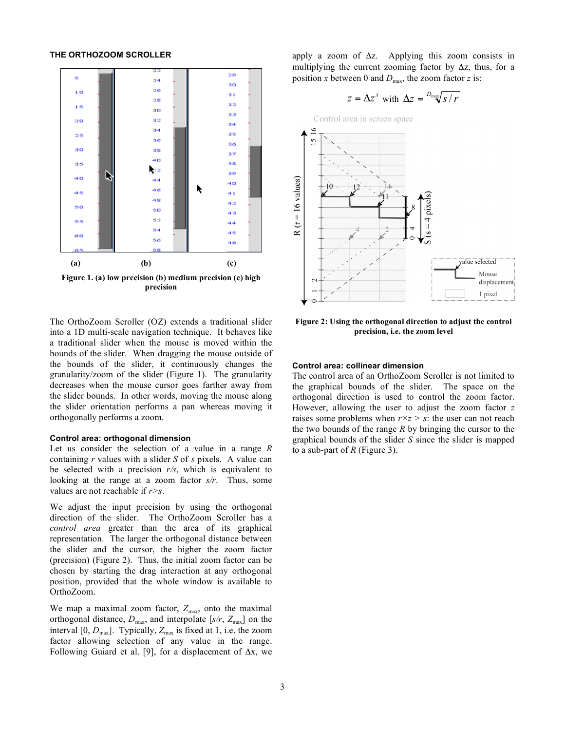#### **THE ORTHOZOOM SCROLLER**



The OrthoZoom Scroller (OZ) extends a traditional slider into a 1D multi-scale navigation technique. It behaves like a traditional slider when the mouse is moved within the bounds of the slider. When dragging the mouse outside of the bounds of the slider, it continuously changes the granularity/zoom of the slider (Figure 1). The granularity decreases when the mouse cursor goes farther away from the slider bounds. In other words, moving the mouse along the slider orientation performs a pan whereas moving it orthogonally performs a zoom.

#### **Control area: orthogonal dimension**

Let us consider the selection of a value in a range *R* containing *r* values with a slider *S* of *s* pixels. A value can be selected with a precision *r/s*, which is equivalent to looking at the range at a zoom factor *s/r*. Thus, some values are not reachable if *r>s*.

We adjust the input precision by using the orthogonal direction of the slider. The OrthoZoom Scroller has a *control area* greater than the area of its graphical representation. The larger the orthogonal distance between the slider and the cursor, the higher the zoom factor (precision) (Figure 2). Thus, the initial zoom factor can be chosen by starting the drag interaction at any orthogonal position, provided that the whole window is available to OrthoZoom.

We map a maximal zoom factor,  $Z_{\text{max}}$ , onto the maximal orthogonal distance,  $D_{\text{max}}$ , and interpolate [ $s/r$ ,  $Z_{\text{max}}$ ] on the interval  $[0, D_{\text{max}}]$ . Typically,  $Z_{\text{max}}$  is fixed at 1, i.e. the zoom factor allowing selection of any value in the range. Following Guiard et al. [9], for a displacement of  $\Delta x$ , we apply a zoom of  $\Delta z$ . Applying this zoom consists in multiplying the current zooming factor by  $\Delta z$ , thus, for a position *x* between 0 and  $D_{\text{max}}$ , the zoom factor *z* is:

$$
z = \Delta z^x
$$
 with  $\Delta z = \frac{D_{\text{max}}}{S/r}$ 



**Figure 2: Using the orthogonal direction to adjust the control precision, i.e. the zoom level**

#### **Control area: collinear dimension**

The control area of an OrthoZoom Scroller is not limited to the graphical bounds of the slider. The space on the orthogonal direction is used to control the zoom factor. However, allowing the user to adjust the zoom factor *z* raises some problems when *r×z > s*: the user can not reach the two bounds of the range *R* by bringing the cursor to the graphical bounds of the slider *S* since the slider is mapped to a sub-part of *R* (Figure 3).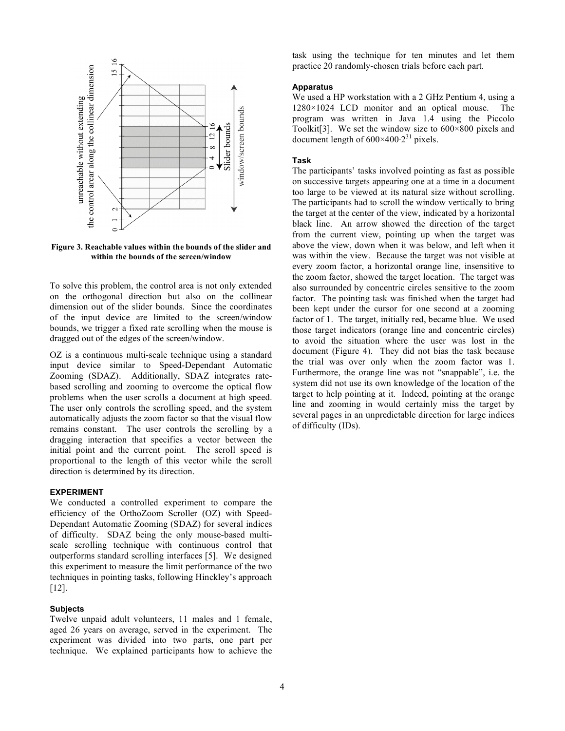

**Figure 3. Reachable values within the bounds of the slider and within the bounds of the screen/window**

To solve this problem, the control area is not only extended on the orthogonal direction but also on the collinear dimension out of the slider bounds. Since the coordinates of the input device are limited to the screen/window bounds, we trigger a fixed rate scrolling when the mouse is dragged out of the edges of the screen/window.

OZ is a continuous multi-scale technique using a standard input device similar to Speed-Dependant Automatic Zooming (SDAZ). Additionally, SDAZ integrates ratebased scrolling and zooming to overcome the optical flow problems when the user scrolls a document at high speed. The user only controls the scrolling speed, and the system automatically adjusts the zoom factor so that the visual flow remains constant. The user controls the scrolling by a dragging interaction that specifies a vector between the initial point and the current point. The scroll speed is proportional to the length of this vector while the scroll direction is determined by its direction.

# **EXPERIMENT**

We conducted a controlled experiment to compare the efficiency of the OrthoZoom Scroller (OZ) with Speed-Dependant Automatic Zooming (SDAZ) for several indices of difficulty. SDAZ being the only mouse-based multiscale scrolling technique with continuous control that outperforms standard scrolling interfaces [5]. We designed this experiment to measure the limit performance of the two techniques in pointing tasks, following Hinckley's approach [12].

## **Subjects**

Twelve unpaid adult volunteers, 11 males and 1 female, aged 26 years on average, served in the experiment. The experiment was divided into two parts, one part per technique. We explained participants how to achieve the

task using the technique for ten minutes and let them practice 20 randomly-chosen trials before each part.

## **Apparatus**

We used a HP workstation with a 2 GHz Pentium 4, using a 1280×1024 LCD monitor and an optical mouse. The program was written in Java 1.4 using the Piccolo Toolkit<sup>[3]</sup>. We set the window size to  $600 \times 800$  pixels and document length of  $600\times400.2^{31}$  pixels.

#### **Task**

The participants' tasks involved pointing as fast as possible on successive targets appearing one at a time in a document too large to be viewed at its natural size without scrolling. The participants had to scroll the window vertically to bring the target at the center of the view, indicated by a horizontal black line. An arrow showed the direction of the target from the current view, pointing up when the target was above the view, down when it was below, and left when it was within the view. Because the target was not visible at every zoom factor, a horizontal orange line, insensitive to the zoom factor, showed the target location. The target was also surrounded by concentric circles sensitive to the zoom factor. The pointing task was finished when the target had been kept under the cursor for one second at a zooming factor of 1. The target, initially red, became blue. We used those target indicators (orange line and concentric circles) to avoid the situation where the user was lost in the document (Figure 4). They did not bias the task because the trial was over only when the zoom factor was 1. Furthermore, the orange line was not "snappable", i.e. the system did not use its own knowledge of the location of the target to help pointing at it. Indeed, pointing at the orange line and zooming in would certainly miss the target by several pages in an unpredictable direction for large indices of difficulty (IDs).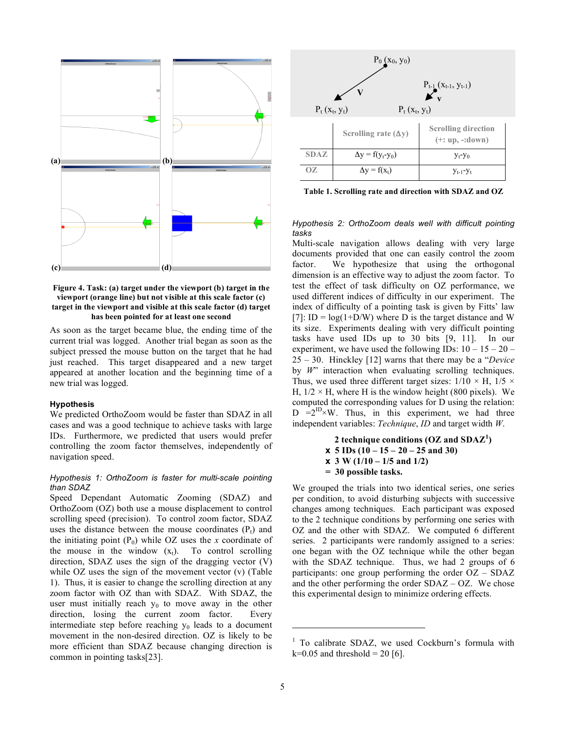

**Figure 4. Task: (a) target under the viewport (b) target in the viewport (orange line) but not visible at this scale factor (c) target in the viewport and visible at this scale factor (d) target has been pointed for at least one second**

As soon as the target became blue, the ending time of the current trial was logged. Another trial began as soon as the subject pressed the mouse button on the target that he had just reached. This target disappeared and a new target appeared at another location and the beginning time of a new trial was logged.

#### **Hypothesis**

We predicted OrthoZoom would be faster than SDAZ in all cases and was a good technique to achieve tasks with large IDs. Furthermore, we predicted that users would prefer controlling the zoom factor themselves, independently of navigation speed.

# *Hypothesis 1: OrthoZoom is faster for multi-scale pointing than SDAZ*

Speed Dependant Automatic Zooming (SDAZ) and OrthoZoom (OZ) both use a mouse displacement to control scrolling speed (precision). To control zoom factor, SDAZ uses the distance between the mouse coordinates  $(P_t)$  and the initiating point  $(P_0)$  while OZ uses the *x* coordinate of the mouse in the window  $(x_t)$ . To control scrolling direction, SDAZ uses the sign of the dragging vector (V) while OZ uses the sign of the movement vector (v) (Table 1). Thus, it is easier to change the scrolling direction at any zoom factor with OZ than with SDAZ. With SDAZ, the user must initially reach  $y_0$  to move away in the other direction, losing the current zoom factor. Every intermediate step before reaching  $y_0$  leads to a document movement in the non-desired direction. OZ is likely to be more efficient than SDAZ because changing direction is common in pointing tasks[23].



**Table 1. Scrolling rate and direction with SDAZ and OZ** 

#### *Hypothesis 2: OrthoZoom deals well with difficult pointing tasks*

Multi-scale navigation allows dealing with very large documents provided that one can easily control the zoom factor. We hypothesize that using the orthogonal dimension is an effective way to adjust the zoom factor. To test the effect of task difficulty on OZ performance, we used different indices of difficulty in our experiment. The index of difficulty of a pointing task is given by Fitts' law [7]: ID =  $log(1+D/W)$  where D is the target distance and W its size. Experiments dealing with very difficult pointing tasks have used IDs up to 30 bits [9, 11]. In our experiment, we have used the following IDs:  $10 - 15 - 20 -$ 25 – 30. Hinckley [12] warns that there may be a "*Device*  by *W*" interaction when evaluating scrolling techniques. Thus, we used three different target sizes:  $1/10 \times H$ ,  $1/5 \times$ H,  $1/2 \times$  H, where H is the window height (800 pixels). We computed the corresponding values for D using the relation:  $D =2^{12} \times W$ . Thus, in this experiment, we had three independent variables: *Technique*, *ID* and target width *W*.

> **2 technique conditions (OZ and SDAZ<sup>1</sup> ) x 5 IDs (10 – 15 – 20 – 25 and 30) x 3 W (1/10 – 1/5 and 1/2) = 30 possible tasks.**

We grouped the trials into two identical series, one series per condition, to avoid disturbing subjects with successive changes among techniques. Each participant was exposed to the 2 technique conditions by performing one series with OZ and the other with SDAZ. We computed 6 different series. 2 participants were randomly assigned to a series: one began with the OZ technique while the other began with the SDAZ technique. Thus, we had 2 groups of 6 participants: one group performing the order OZ – SDAZ and the other performing the order SDAZ – OZ. We chose this experimental design to minimize ordering effects.

l

 $1$  To calibrate SDAZ, we used Cockburn's formula with  $k=0.05$  and threshold = 20 [6].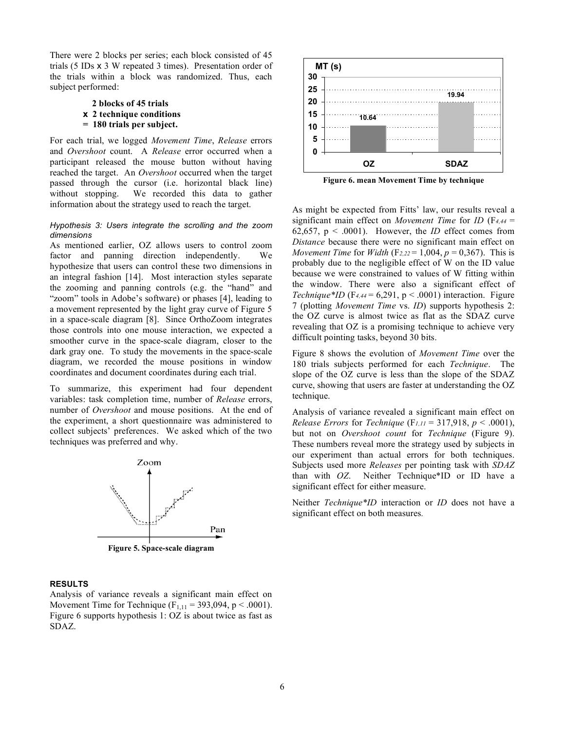There were 2 blocks per series; each block consisted of 45 trials (5 IDs x 3 W repeated 3 times). Presentation order of the trials within a block was randomized. Thus, each subject performed:

## **2 blocks of 45 trials x 2 technique conditions = 180 trials per subject.**

For each trial, we logged *Movement Time*, *Release* errors and *Overshoot* count. A *Release* error occurred when a participant released the mouse button without having reached the target. An *Overshoot* occurred when the target passed through the cursor (i.e. horizontal black line) without stopping. We recorded this data to gather information about the strategy used to reach the target.

#### *Hypothesis 3: Users integrate the scrolling and the zoom dimensions*

As mentioned earlier, OZ allows users to control zoom factor and panning direction independently. We hypothesize that users can control these two dimensions in an integral fashion [14]. Most interaction styles separate the zooming and panning controls (e.g. the "hand" and "zoom" tools in Adobe's software) or phases [4], leading to a movement represented by the light gray curve of Figure 5 in a space-scale diagram [8]. Since OrthoZoom integrates those controls into one mouse interaction, we expected a smoother curve in the space-scale diagram, closer to the dark gray one. To study the movements in the space-scale diagram, we recorded the mouse positions in window coordinates and document coordinates during each trial.

To summarize, this experiment had four dependent variables: task completion time, number of *Release* errors, number of *Overshoot* and mouse positions. At the end of the experiment, a short questionnaire was administered to collect subjects' preferences. We asked which of the two techniques was preferred and why.



**Figure 5. Space-scale diagram**

## **RESULTS**

Analysis of variance reveals a significant main effect on Movement Time for Technique ( $F_{1,11} = 393,094, p < .0001$ ). Figure 6 supports hypothesis 1: OZ is about twice as fast as SDAZ.



**Figure 6. mean Movement Time by technique**

As might be expected from Fitts' law, our results reveal a significant main effect on *Movement Time* for *ID* (F*4,44* = 62,657,  $p < .0001$ ). However, the *ID* effect comes from *Distance* because there were no significant main effect on *Movement Time for Width (F<sub>2,22</sub> = 1,004,*  $p = 0,367$ *). This is* probably due to the negligible effect of W on the ID value because we were constrained to values of W fitting within the window. There were also a significant effect of *Technique\*ID*  $(F_{4,44} = 6,291, p < .0001)$  interaction. Figure 7 (plotting *Movement Time* vs. *ID*) supports hypothesis 2: the OZ curve is almost twice as flat as the SDAZ curve revealing that OZ is a promising technique to achieve very difficult pointing tasks, beyond 30 bits.

Figure 8 shows the evolution of *Movement Time* over the 180 trials subjects performed for each *Technique*. The slope of the OZ curve is less than the slope of the SDAZ curve, showing that users are faster at understanding the OZ technique.

Analysis of variance revealed a significant main effect on *Release Errors* for *Technique* (F<sub>1,11</sub> = 317,918,  $p < .0001$ ), but not on *Overshoot count* for *Technique* (Figure 9). These numbers reveal more the strategy used by subjects in our experiment than actual errors for both techniques. Subjects used more *Releases* per pointing task with *SDAZ* than with *OZ*. Neither Technique\*ID or ID have a significant effect for either measure.

Neither *Technique\*ID* interaction or *ID* does not have a significant effect on both measures*.*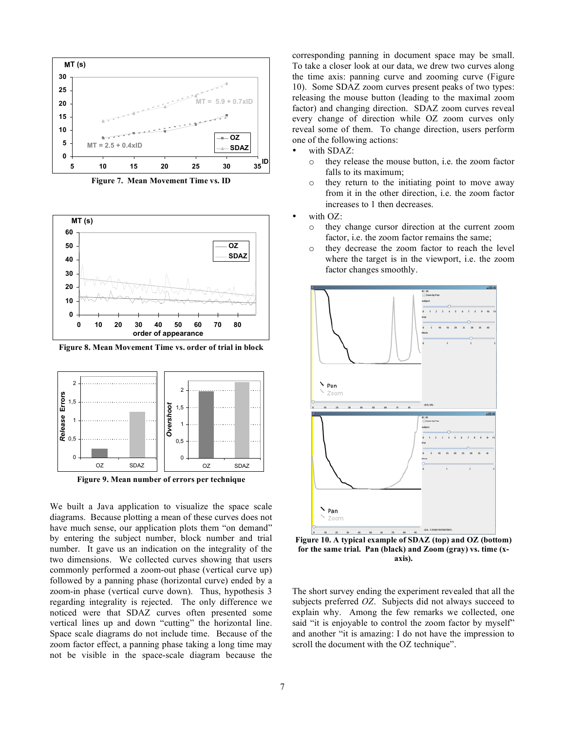

**Figure 7. Mean Movement Time vs. ID**



**Figure 8. Mean Movement Time vs. order of trial in block**



**Figure 9. Mean number of errors per technique**

We built a Java application to visualize the space scale diagrams. Because plotting a mean of these curves does not have much sense, our application plots them "on demand" by entering the subject number, block number and trial number. It gave us an indication on the integrality of the two dimensions. We collected curves showing that users commonly performed a zoom-out phase (vertical curve up) followed by a panning phase (horizontal curve) ended by a zoom-in phase (vertical curve down). Thus, hypothesis 3 regarding integrality is rejected. The only difference we noticed were that SDAZ curves often presented some vertical lines up and down "cutting" the horizontal line. Space scale diagrams do not include time. Because of the zoom factor effect, a panning phase taking a long time may not be visible in the space-scale diagram because the corresponding panning in document space may be small. To take a closer look at our data, we drew two curves along the time axis: panning curve and zooming curve (Figure 10). Some SDAZ zoom curves present peaks of two types: releasing the mouse button (leading to the maximal zoom factor) and changing direction. SDAZ zoom curves reveal every change of direction while OZ zoom curves only reveal some of them. To change direction, users perform one of the following actions:

with SDAZ:

- o they release the mouse button, i.e. the zoom factor falls to its maximum;
- o they return to the initiating point to move away from it in the other direction, i.e. the zoom factor increases to 1 then decreases.
- with OZ:
	- o they change cursor direction at the current zoom factor, i.e. the zoom factor remains the same;
	- o they decrease the zoom factor to reach the level where the target is in the viewport, i.e. the zoom factor changes smoothly.



**Figure 10. A typical example of SDAZ (top) and OZ (bottom) for the same trial. Pan (black) and Zoom (gray) vs. time (xaxis).**

The short survey ending the experiment revealed that all the subjects preferred *OZ*. Subjects did not always succeed to explain why. Among the few remarks we collected, one said "it is enjoyable to control the zoom factor by myself" and another "it is amazing: I do not have the impression to scroll the document with the OZ technique".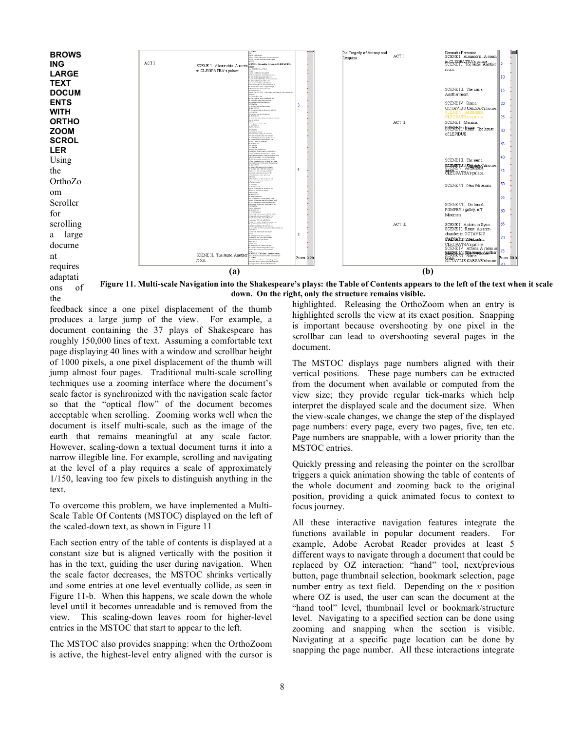

ons of **Figure 11. Multi-scale Navigation into the Shakespeare's plays: the Table of Contents appears to the left of the text when it scales down. On the right, only the structure remains visible.**

feedback since a one pixel displacement of the thumb produces a large jump of the view. For example, a document containing the 37 plays of Shakespeare has roughly 150,000 lines of text. Assuming a comfortable text page displaying 40 lines with a window and scrollbar height of 1000 pixels, a one pixel displacement of the thumb will jump almost four pages. Traditional multi-scale scrolling techniques use a zooming interface where the document's scale factor is synchronized with the navigation scale factor so that the "optical flow" of the document becomes acceptable when scrolling. Zooming works well when the document is itself multi-scale, such as the image of the earth that remains meaningful at any scale factor. However, scaling-down a textual document turns it into a narrow illegible line. For example, scrolling and navigating at the level of a play requires a scale of approximately 1/150, leaving too few pixels to distinguish anything in the text.

the

To overcome this problem, we have implemented a Multi-Scale Table Of Contents (MSTOC) displayed on the left of the scaled-down text, as shown in Figure 11

Each section entry of the table of contents is displayed at a constant size but is aligned vertically with the position it has in the text, guiding the user during navigation. When the scale factor decreases, the MSTOC shrinks vertically and some entries at one level eventually collide, as seen in Figure 11-b. When this happens, we scale down the whole level until it becomes unreadable and is removed from the view. This scaling-down leaves room for higher-level entries in the MSTOC that start to appear to the left.

The MSTOC also provides snapping: when the OrthoZoom is active, the highest-level entry aligned with the cursor is highlighted. Releasing the OrthoZoom when an entry is highlighted scrolls the view at its exact position. Snapping is important because overshooting by one pixel in the scrollbar can lead to overshooting several pages in the document.

The MSTOC displays page numbers aligned with their vertical positions. These page numbers can be extracted from the document when available or computed from the view size; they provide regular tick-marks which help interpret the displayed scale and the document size. When the view-scale changes, we change the step of the displayed page numbers: every page, every two pages, five, ten etc. Page numbers are snappable, with a lower priority than the MSTOC entries.

Quickly pressing and releasing the pointer on the scrollbar triggers a quick animation showing the table of contents of the whole document and zooming back to the original position, providing a quick animated focus to context to focus journey.

All these interactive navigation features integrate the functions available in popular document readers. For example, Adobe Acrobat Reader provides at least 5 different ways to navigate through a document that could be replaced by OZ interaction: "hand" tool, next/previous button, page thumbnail selection, bookmark selection, page number entry as text field. Depending on the *x* position where OZ is used, the user can scan the document at the "hand tool" level, thumbnail level or bookmark/structure level. Navigating to a specified section can be done using zooming and snapping when the section is visible. Navigating at a specific page location can be done by snapping the page number. All these interactions integrate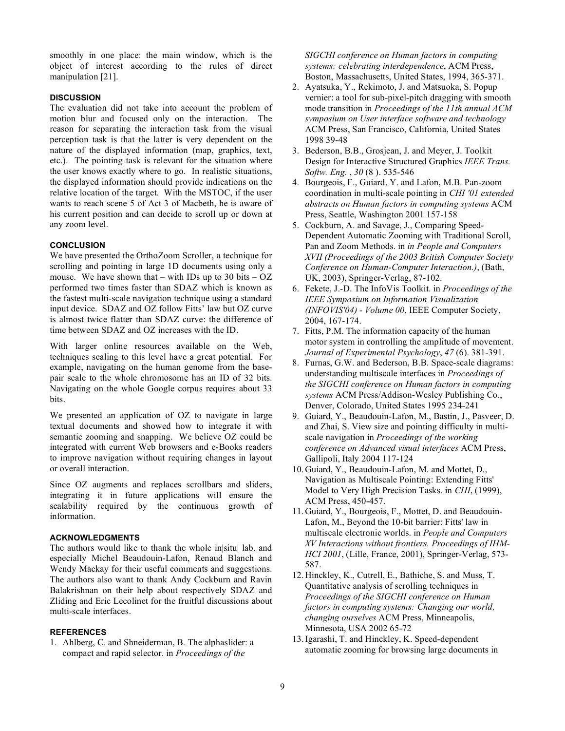smoothly in one place: the main window, which is the object of interest according to the rules of direct manipulation [21].

## **DISCUSSION**

The evaluation did not take into account the problem of motion blur and focused only on the interaction. The reason for separating the interaction task from the visual perception task is that the latter is very dependent on the nature of the displayed information (map, graphics, text, etc.). The pointing task is relevant for the situation where the user knows exactly where to go. In realistic situations, the displayed information should provide indications on the relative location of the target. With the MSTOC, if the user wants to reach scene 5 of Act 3 of Macbeth, he is aware of his current position and can decide to scroll up or down at any zoom level.

## **CONCLUSION**

We have presented the OrthoZoom Scroller, a technique for scrolling and pointing in large 1D documents using only a mouse. We have shown that – with IDs up to 30 bits –  $OZ$ performed two times faster than SDAZ which is known as the fastest multi-scale navigation technique using a standard input device. SDAZ and OZ follow Fitts' law but OZ curve is almost twice flatter than SDAZ curve: the difference of time between SDAZ and OZ increases with the ID.

With larger online resources available on the Web, techniques scaling to this level have a great potential. For example, navigating on the human genome from the basepair scale to the whole chromosome has an ID of 32 bits. Navigating on the whole Google corpus requires about 33 bits.

We presented an application of OZ to navigate in large textual documents and showed how to integrate it with semantic zooming and snapping. We believe OZ could be integrated with current Web browsers and e-Books readers to improve navigation without requiring changes in layout or overall interaction.

Since OZ augments and replaces scrollbars and sliders, integrating it in future applications will ensure the scalability required by the continuous growth of information.

## **ACKNOWLEDGMENTS**

The authors would like to thank the whole in|situ| lab. and especially Michel Beaudouin-Lafon, Renaud Blanch and Wendy Mackay for their useful comments and suggestions. The authors also want to thank Andy Cockburn and Ravin Balakrishnan on their help about respectively SDAZ and Zliding and Eric Lecolinet for the fruitful discussions about multi-scale interfaces.

#### **REFERENCES**

1. Ahlberg, C. and Shneiderman, B. The alphaslider: a compact and rapid selector. in *Proceedings of the* 

*SIGCHI conference on Human factors in computing systems: celebrating interdependence*, ACM Press, Boston, Massachusetts, United States, 1994, 365-371.

- 2. Ayatsuka, Y., Rekimoto, J. and Matsuoka, S. Popup vernier: a tool for sub-pixel-pitch dragging with smooth mode transition in *Proceedings of the 11th annual ACM symposium on User interface software and technology*  ACM Press, San Francisco, California, United States 1998 39-48
- 3. Bederson, B.B., Grosjean, J. and Meyer, J. Toolkit Design for Interactive Structured Graphics *IEEE Trans. Softw. Eng.* , *30* (8 ). 535-546
- 4. Bourgeois, F., Guiard, Y. and Lafon, M.B. Pan-zoom coordination in multi-scale pointing in *CHI '01 extended abstracts on Human factors in computing systems* ACM Press, Seattle, Washington 2001 157-158
- 5. Cockburn, A. and Savage, J., Comparing Speed-Dependent Automatic Zooming with Traditional Scroll, Pan and Zoom Methods. in *in People and Computers XVII (Proceedings of the 2003 British Computer Society Conference on Human-Computer Interaction.)*, (Bath, UK, 2003), Springer-Verlag, 87-102.
- 6. Fekete, J.-D. The InfoVis Toolkit. in *Proceedings of the IEEE Symposium on Information Visualization (INFOVIS'04) - Volume 00*, IEEE Computer Society, 2004, 167-174.
- 7. Fitts, P.M. The information capacity of the human motor system in controlling the amplitude of movement. *Journal of Experimental Psychology*, *47* (6). 381-391.
- 8. Furnas, G.W. and Bederson, B.B. Space-scale diagrams: understanding multiscale interfaces in *Proceedings of the SIGCHI conference on Human factors in computing systems* ACM Press/Addison-Wesley Publishing Co., Denver, Colorado, United States 1995 234-241
- 9. Guiard, Y., Beaudouin-Lafon, M., Bastin, J., Pasveer, D. and Zhai, S. View size and pointing difficulty in multiscale navigation in *Proceedings of the working conference on Advanced visual interfaces* ACM Press, Gallipoli, Italy 2004 117-124
- 10.Guiard, Y., Beaudouin-Lafon, M. and Mottet, D., Navigation as Multiscale Pointing: Extending Fitts' Model to Very High Precision Tasks. in *CHI*, (1999), ACM Press, 450-457.
- 11.Guiard, Y., Bourgeois, F., Mottet, D. and Beaudouin-Lafon, M., Beyond the 10-bit barrier: Fitts' law in multiscale electronic worlds. in *People and Computers XV Interactions without frontiers. Proceedings of IHM-HCI 2001*, (Lille, France, 2001), Springer-Verlag, 573- 587.
- 12.Hinckley, K., Cutrell, E., Bathiche, S. and Muss, T. Quantitative analysis of scrolling techniques in *Proceedings of the SIGCHI conference on Human factors in computing systems: Changing our world, changing ourselves* ACM Press, Minneapolis, Minnesota, USA 2002 65-72
- 13.Igarashi, T. and Hinckley, K. Speed-dependent automatic zooming for browsing large documents in